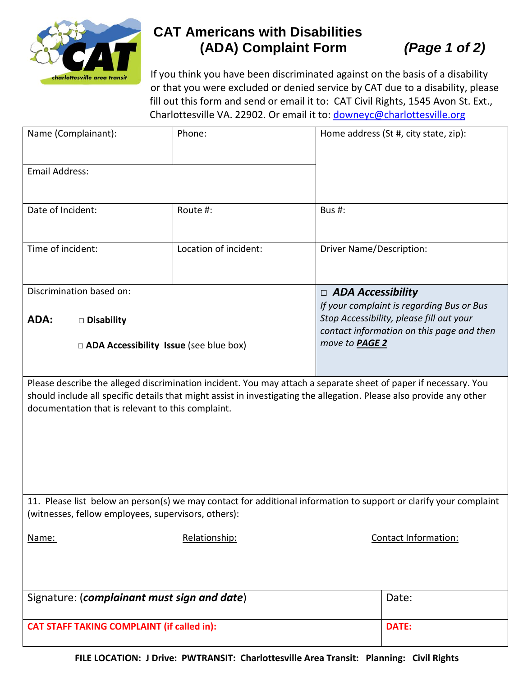

## **CAT Americans with Disabilities (ADA) Complaint Form** *(Page 1 of 2)*

If you think you have been discriminated against on the basis of a disability or that you were excluded or denied service by CAT due to a disability, please fill out this form and send or email it to: CAT Civil Rights, 1545 Avon St. Ext., Charlottesville VA. 22902. Or email it to: [downeyc@charlottesville.org](mailto:downeyc@charlottesville.org)

| Name (Complainant):                                                                                                                                                                                                                                                                          | Phone:                | Home address (St #, city state, zip):                                                                                              |              |  |
|----------------------------------------------------------------------------------------------------------------------------------------------------------------------------------------------------------------------------------------------------------------------------------------------|-----------------------|------------------------------------------------------------------------------------------------------------------------------------|--------------|--|
| Email Address:                                                                                                                                                                                                                                                                               |                       |                                                                                                                                    |              |  |
| Date of Incident:                                                                                                                                                                                                                                                                            | Route #:              | Bus #:                                                                                                                             |              |  |
| Time of incident:                                                                                                                                                                                                                                                                            | Location of incident: | <b>Driver Name/Description:</b>                                                                                                    |              |  |
| Discrimination based on:                                                                                                                                                                                                                                                                     |                       | $\Box$ ADA Accessibility                                                                                                           |              |  |
| <b>ADA:</b><br>$\square$ Disability                                                                                                                                                                                                                                                          |                       | If your complaint is regarding Bus or Bus<br>Stop Accessibility, please fill out your<br>contact information on this page and then |              |  |
| $\Box$ ADA Accessibility Issue (see blue box)                                                                                                                                                                                                                                                |                       | move to PAGE 2                                                                                                                     |              |  |
| Please describe the alleged discrimination incident. You may attach a separate sheet of paper if necessary. You<br>should include all specific details that might assist in investigating the allegation. Please also provide any other<br>documentation that is relevant to this complaint. |                       |                                                                                                                                    |              |  |
| 11. Please list below an person(s) we may contact for additional information to support or clarify your complaint<br>(witnesses, fellow employees, supervisors, others):                                                                                                                     |                       |                                                                                                                                    |              |  |
| Name:                                                                                                                                                                                                                                                                                        | Relationship:         | Contact Information:                                                                                                               |              |  |
| Signature: (complainant must sign and date)                                                                                                                                                                                                                                                  |                       |                                                                                                                                    | Date:        |  |
| <b>CAT STAFF TAKING COMPLAINT (if called in):</b>                                                                                                                                                                                                                                            |                       |                                                                                                                                    | <b>DATE:</b> |  |

**FILE LOCATION: J Drive: PWTRANSIT: Charlottesville Area Transit: Planning: Civil Rights**